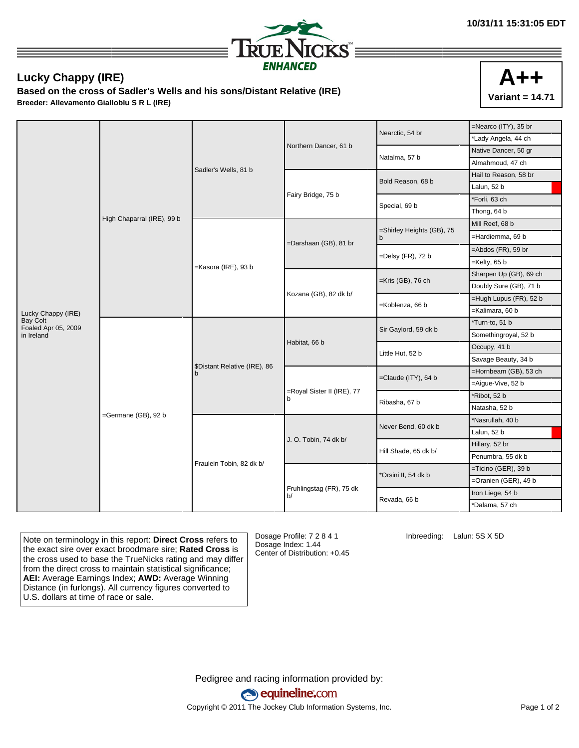

## **Lucky Chappy (IRE)**

**Based on the cross of Sadler's Wells and his sons/Distant Relative (IRE) Breeder: Allevamento Gialloblu S R L (IRE)**



|                                        |                            |                                   |                                | Nearctic, 54 br           | $=$ Nearco (ITY), 35 br                                                                                                                                                                                                                                                    |                  |
|----------------------------------------|----------------------------|-----------------------------------|--------------------------------|---------------------------|----------------------------------------------------------------------------------------------------------------------------------------------------------------------------------------------------------------------------------------------------------------------------|------------------|
|                                        |                            |                                   |                                |                           | *Lady Angela, 44 ch                                                                                                                                                                                                                                                        |                  |
|                                        |                            |                                   | Northern Dancer, 61 b          | Natalma, 57 b             | Native Dancer, 50 gr                                                                                                                                                                                                                                                       |                  |
|                                        |                            |                                   | Sadler's Wells, 81 b           |                           |                                                                                                                                                                                                                                                                            | Almahmoud, 47 ch |
|                                        |                            |                                   |                                | Bold Reason, 68 b         | Hail to Reason, 58 br<br>Lalun, 52 b<br>*Forli, 63 ch<br>Thong, 64 b<br>Mill Reef, 68 b<br>=Hardiemma, 69 b<br>$=$ Abdos (FR), 59 br<br>$=$ Kelty, 65 b<br>Sharpen Up (GB), 69 ch<br>Doubly Sure (GB), 71 b<br>=Hugh Lupus (FR), 52 b<br>=Kalimara, 60 b<br>*Turn-to, 51 b |                  |
|                                        |                            |                                   |                                |                           |                                                                                                                                                                                                                                                                            |                  |
|                                        |                            |                                   | Fairy Bridge, 75 b             | Special, 69 b             |                                                                                                                                                                                                                                                                            |                  |
|                                        |                            |                                   |                                |                           |                                                                                                                                                                                                                                                                            |                  |
|                                        | High Chaparral (IRE), 99 b |                                   |                                | =Shirley Heights (GB), 75 |                                                                                                                                                                                                                                                                            |                  |
|                                        |                            |                                   | =Darshaan (GB), 81 br          | b                         |                                                                                                                                                                                                                                                                            |                  |
|                                        |                            |                                   |                                |                           |                                                                                                                                                                                                                                                                            |                  |
|                                        |                            | =Kasora (IRE), 93 b               |                                | =Delsy (FR), 72 b         |                                                                                                                                                                                                                                                                            |                  |
|                                        |                            |                                   |                                | =Kris (GB), 76 ch         |                                                                                                                                                                                                                                                                            |                  |
|                                        |                            |                                   |                                |                           |                                                                                                                                                                                                                                                                            |                  |
|                                        |                            |                                   | Kozana (GB), 82 dk b/          | =Koblenza, 66 b           |                                                                                                                                                                                                                                                                            |                  |
| Lucky Chappy (IRE)                     |                            |                                   |                                |                           |                                                                                                                                                                                                                                                                            |                  |
| <b>Bay Colt</b><br>Foaled Apr 05, 2009 |                            |                                   |                                | Sir Gaylord, 59 dk b      |                                                                                                                                                                                                                                                                            |                  |
| in Ireland                             |                            |                                   |                                |                           | Somethingroyal, 52 b<br>Occupy, 41 b<br>Savage Beauty, 34 b<br>=Hornbeam (GB), 53 ch<br>=Aigue-Vive, 52 b<br>*Ribot, 52 b<br>Natasha, 52 b<br>*Nasrullah, 40 b<br>Lalun, 52 b<br>Hillary, 52 br<br>Penumbra, 55 dk b<br>$=$ Ticino (GER), 39 b<br>=Oranien (GER), 49 b     |                  |
|                                        |                            |                                   | Habitat, 66 b                  | Little Hut, 52 b          |                                                                                                                                                                                                                                                                            |                  |
|                                        |                            | \$Distant Relative (IRE), 86<br>b |                                |                           |                                                                                                                                                                                                                                                                            |                  |
|                                        |                            |                                   |                                | $=$ Claude (ITY), 64 b    |                                                                                                                                                                                                                                                                            |                  |
|                                        |                            |                                   |                                |                           |                                                                                                                                                                                                                                                                            |                  |
|                                        |                            |                                   | =Royal Sister II (IRE), 77     | Ribasha, 67 b             | Iron Liege, 54 b<br>*Dalama, 57 ch                                                                                                                                                                                                                                         |                  |
|                                        | =Germane (GB), 92 b        |                                   |                                |                           |                                                                                                                                                                                                                                                                            |                  |
|                                        |                            | Fraulein Tobin, 82 dk b/          | J. O. Tobin, 74 dk b/          | Never Bend, 60 dk b       |                                                                                                                                                                                                                                                                            |                  |
|                                        |                            |                                   |                                |                           |                                                                                                                                                                                                                                                                            |                  |
|                                        |                            |                                   |                                | Hill Shade, 65 dk b/      |                                                                                                                                                                                                                                                                            |                  |
|                                        |                            |                                   |                                |                           |                                                                                                                                                                                                                                                                            |                  |
|                                        |                            |                                   |                                | *Orsini II, 54 dk b       |                                                                                                                                                                                                                                                                            |                  |
|                                        |                            |                                   |                                |                           |                                                                                                                                                                                                                                                                            |                  |
|                                        |                            |                                   | Fruhlingstag (FR), 75 dk<br>b/ | Revada, 66 b              |                                                                                                                                                                                                                                                                            |                  |
|                                        |                            |                                   |                                |                           |                                                                                                                                                                                                                                                                            |                  |

Note on terminology in this report: **Direct Cross** refers to the exact sire over exact broodmare sire; **Rated Cross** is the cross used to base the TrueNicks rating and may differ from the direct cross to maintain statistical significance; **AEI:** Average Earnings Index; **AWD:** Average Winning Distance (in furlongs). All currency figures converted to U.S. dollars at time of race or sale.

Dosage Profile: 7 2 8 4 1 Dosage Index: 1.44 Center of Distribution: +0.45 Inbreeding: Lalun: 5S X 5D

Pedigree and racing information provided by: equineline.com Copyright © 2011 The Jockey Club Information Systems, Inc. example 2012 Page 1 of 2